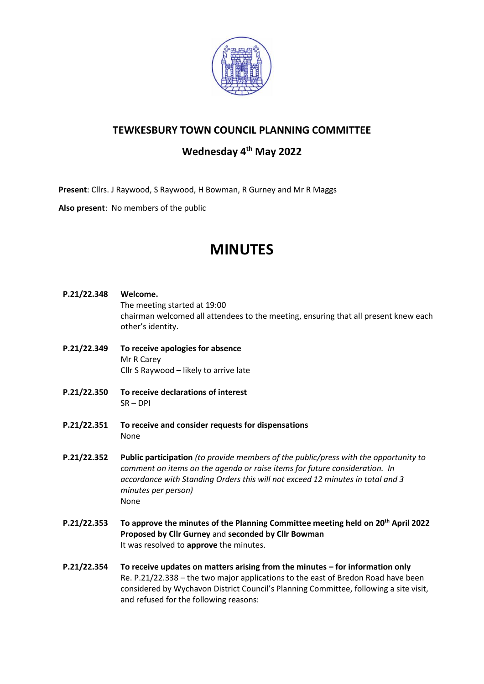

# **TEWKESBURY TOWN COUNCIL PLANNING COMMITTEE**

# **Wednesday 4 th May 2022**

**Present**: Cllrs. J Raywood, S Raywood, H Bowman, R Gurney and Mr R Maggs

**Also present**: No members of the public

# **MINUTES**

- **P.21/22.348 Welcome.** The meeting started at 19:00 chairman welcomed all attendees to the meeting, ensuring that all present knew each other's identity.
- **P.21/22.349 To receive apologies for absence** Mr R Carey Cllr S Raywood – likely to arrive late
- **P.21/22.350 To receive declarations of interest** SR – DPI
- **P.21/22.351 To receive and consider requests for dispensations** None
- **P.21/22.352 Public participation** *(to provide members of the public/press with the opportunity to comment on items on the agenda or raise items for future consideration. In accordance with Standing Orders this will not exceed 12 minutes in total and 3 minutes per person)* None
- **P.21/22.353 To approve the minutes of the Planning Committee meeting held on 20th April 2022 Proposed by Cllr Gurney** and **seconded by Cllr Bowman** It was resolved to **approve** the minutes.
- **P.21/22.354 To receive updates on matters arising from the minutes – for information only** Re. P.21/22.338 – the two major applications to the east of Bredon Road have been considered by Wychavon District Council's Planning Committee, following a site visit, and refused for the following reasons: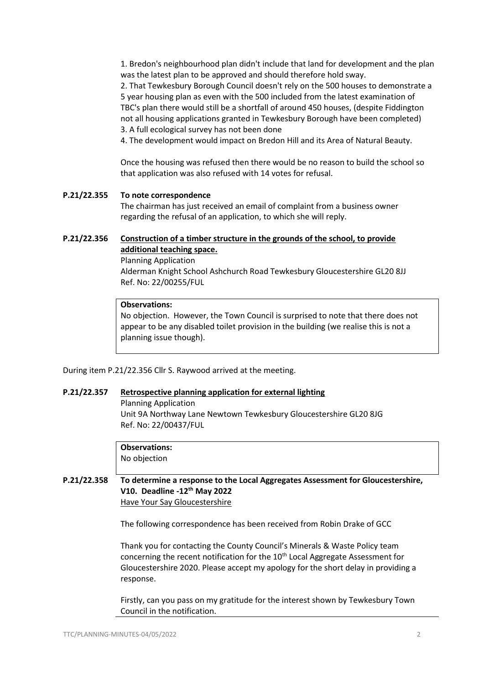1. Bredon's neighbourhood plan didn't include that land for development and the plan was the latest plan to be approved and should therefore hold sway.

2. That Tewkesbury Borough Council doesn't rely on the 500 houses to demonstrate a 5 year housing plan as even with the 500 included from the latest examination of TBC's plan there would still be a shortfall of around 450 houses, (despite Fiddington not all housing applications granted in Tewkesbury Borough have been completed) 3. A full ecological survey has not been done

4. The development would impact on Bredon Hill and its Area of Natural Beauty.

Once the housing was refused then there would be no reason to build the school so that application was also refused with 14 votes for refusal.

#### **P.21/22.355 To note correspondence**

The chairman has just received an email of complaint from a business owner regarding the refusal of an application, to which she will reply.

### **P.21/22.356 [Construction of a timber structure in the grounds of the school, to provide](https://publicaccess.tewkesbury.gov.uk/online-applications/applicationDetails.do?activeTab=summary&keyVal=R845OTQD0NS00&prevPage=inTray)  [additional teaching space.](https://publicaccess.tewkesbury.gov.uk/online-applications/applicationDetails.do?activeTab=summary&keyVal=R845OTQD0NS00&prevPage=inTray)**

Planning Application Alderman Knight School Ashchurch Road Tewkesbury Gloucestershire GL20 8JJ Ref. No: 22/00255/FUL

#### **Observations:**

No objection. However, the Town Council is surprised to note that there does not appear to be any disabled toilet provision in the building (we realise this is not a planning issue though).

During item P.21/22.356 Cllr S. Raywood arrived at the meeting.

#### **P.21/22.357 [Retrospective planning application for external lighting](https://publicaccess.tewkesbury.gov.uk/online-applications/applicationDetails.do?activeTab=summary&keyVal=R9V38EQD0AJ00&prevPage=inTray)**

Planning Application

Unit 9A Northway Lane Newtown Tewkesbury Gloucestershire GL20 8JG Ref. No: 22/00437/FUL

**Observations:**

No objection

# **P.21/22.358 To determine a response to the Local Aggregates Assessment for Gloucestershire, V10. Deadline -12th May 2022** [Have Your Say Gloucestershire](https://lnks.gd/l/eyJhbGciOiJIUzI1NiJ9.eyJidWxsZXRpbl9saW5rX2lkIjoxMDEsInVyaSI6ImJwMjpjbGljayIsImJ1bGxldGluX2lkIjoiMjAyMjAzMTcuNTUwMzQxNDEiLCJ1cmwiOiJodHRwczovL2hhdmV5b3Vyc2F5Z2xvdWNlc3RlcnNoaXJlLnVrLmVuZ2FnZW1lbnRocS5jb20vbG9jYWwtYWdncmVnYXRlcy1hc3Nlc3NtZW50LWZvci1nbG91Y2VzdGVyc2hpcmUtdGVjaG5pY2FsLWNvbnN1bHRhdGlvbi1mb3ItdGhlLTEwdGgtbGFhLWphbi10by1kZWMtMjAyMCJ9.-h_2IZjGvbEzn5Bbg2ov5NwvYpUi0cYdExTzb6bsr6c/s/976210575/br/128251089130-l)

The following correspondence has been received from Robin Drake of GCC

Thank you for contacting the County Council's Minerals & Waste Policy team concerning the recent notification for the 10<sup>th</sup> Local Aggregate Assessment for Gloucestershire 2020. Please accept my apology for the short delay in providing a response.

Firstly, can you pass on my gratitude for the interest shown by Tewkesbury Town Council in the notification.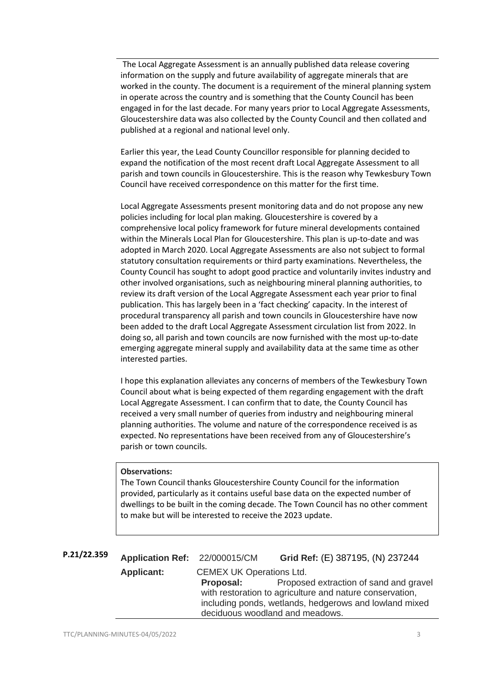The Local Aggregate Assessment is an annually published data release covering information on the supply and future availability of aggregate minerals that are worked in the county. The document is a requirement of the mineral planning system in operate across the country and is something that the County Council has been engaged in for the last decade. For many years prior to Local Aggregate Assessments, Gloucestershire data was also collected by the County Council and then collated and published at a regional and national level only.

Earlier this year, the Lead County Councillor responsible for planning decided to expand the notification of the most recent draft Local Aggregate Assessment to all parish and town councils in Gloucestershire. This is the reason why Tewkesbury Town Council have received correspondence on this matter for the first time.

Local Aggregate Assessments present monitoring data and do not propose any new policies including for local plan making. Gloucestershire is covered by a comprehensive local policy framework for future mineral developments contained within the Minerals Local Plan for Gloucestershire. This plan is up-to-date and was adopted in March 2020. Local Aggregate Assessments are also not subject to formal statutory consultation requirements or third party examinations. Nevertheless, the County Council has sought to adopt good practice and voluntarily invites industry and other involved organisations, such as neighbouring mineral planning authorities, to review its draft version of the Local Aggregate Assessment each year prior to final publication. This has largely been in a 'fact checking' capacity. In the interest of procedural transparency all parish and town councils in Gloucestershire have now been added to the draft Local Aggregate Assessment circulation list from 2022. In doing so, all parish and town councils are now furnished with the most up-to-date emerging aggregate mineral supply and availability data at the same time as other interested parties.

I hope this explanation alleviates any concerns of members of the Tewkesbury Town Council about what is being expected of them regarding engagement with the draft Local Aggregate Assessment. I can confirm that to date, the County Council has received a very small number of queries from industry and neighbouring mineral planning authorities. The volume and nature of the correspondence received is as expected. No representations have been received from any of Gloucestershire's parish or town councils.

#### **Observations:**

The Town Council thanks Gloucestershire County Council for the information provided, particularly as it contains useful base data on the expected number of dwellings to be built in the coming decade. The Town Council has no other comment to make but will be interested to receive the 2023 update.

| P.21/22.359 | Application Ref: 22/000015/CM |                                                                                                                                                       | Grid Ref: (E) 387195, (N) 237244       |
|-------------|-------------------------------|-------------------------------------------------------------------------------------------------------------------------------------------------------|----------------------------------------|
|             | <b>Applicant:</b>             | <b>CEMEX UK Operations Ltd.</b>                                                                                                                       |                                        |
|             |                               | Proposal:                                                                                                                                             | Proposed extraction of sand and gravel |
|             |                               | with restoration to agriculture and nature conservation,<br>including ponds, wetlands, hedgerows and lowland mixed<br>deciduous woodland and meadows. |                                        |
|             |                               |                                                                                                                                                       |                                        |